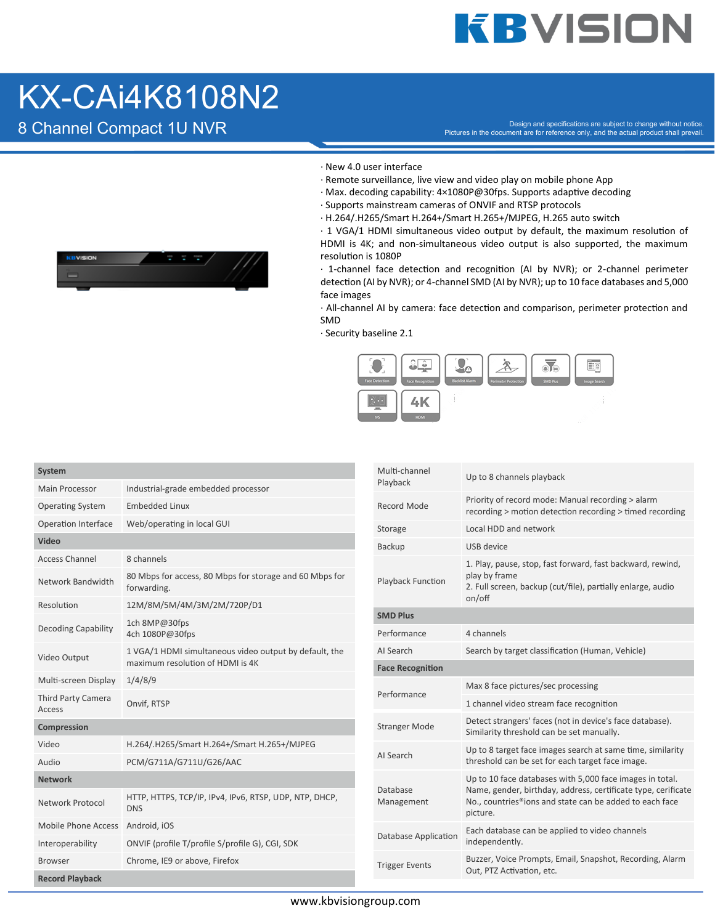## **KBVISION**

#### KX-CAi4K8108N2



- · New 4.0 user interface
- · Remote surveillance, live view and video play on mobile phone App
- $\cdot$  Max. decoding capability: 4×1080P@30fps. Supports adaptive decoding
- · Supports mainstream cameras of ONVIF and RTSP protocols
- · H.264/.H265/Smart H.264+/Smart H.265+/MJPEG, H.265 auto switch

 $\cdot$  1 VGA/1 HDMI simultaneous video output by default, the maximum resolution of HDMI is 4K; and non-simultaneous video output is also supported, the maximum resolution is 1080P

 $\cdot$  1-channel face detection and recognition (AI by NVR); or 2-channel perimeter detection (AI by NVR); or 4-channel SMD (AI by NVR); up to 10 face databases and 5,000 face images

· All-channel AI by camera: face detection and comparison, perimeter protection and SMD

· Security baseline 2.1



| Main Processor<br>Industrial-grade embedded processor<br>Priority of record mode: Manual recording > alarm<br>Record Mode<br><b>Operating System</b><br><b>Embedded Linux</b><br>recording > motion detection recording > timed recording<br>Operation Interface<br>Web/operating in local GUI<br>Local HDD and network<br>Storage<br>Video<br>USB device<br>Backup<br><b>Access Channel</b><br>8 channels<br>1. Play, pause, stop, fast forward, fast backward, rewind,<br>play by frame<br>80 Mbps for access, 80 Mbps for storage and 60 Mbps for<br>Network Bandwidth<br>Playback Function<br>2. Full screen, backup (cut/file), partially enlarge, audio<br>forwarding.<br>on/off<br>Resolution<br>12M/8M/5M/4M/3M/2M/720P/D1<br><b>SMD Plus</b><br>1ch 8MP@30fps<br>Decoding Capability<br>4 channels<br>Performance<br>4ch 1080P@30fps<br>Search by target classification (Human, Vehicle)<br>AI Search<br>1 VGA/1 HDMI simultaneous video output by default, the<br>Video Output<br>maximum resolution of HDMI is 4K<br><b>Face Recognition</b><br>Multi-screen Display<br>1/4/8/9<br>Max 8 face pictures/sec processing<br>Performance<br>Third Party Camera<br>Onvif, RTSP<br>1 channel video stream face recognition<br>Access<br>Detect strangers' faces (not in device's face database).<br><b>Stranger Mode</b><br>Compression<br>Similarity threshold can be set manually.<br>H.264/.H265/Smart H.264+/Smart H.265+/MJPEG<br>Video<br>Up to 8 target face images search at same time, similarity<br>AI Search<br>threshold can be set for each target face image.<br>Audio<br>PCM/G711A/G711U/G26/AAC<br>Up to 10 face databases with 5,000 face images in total.<br><b>Network</b><br>Name, gender, birthday, address, certificate type, cerificate<br>Database<br>HTTP, HTTPS, TCP/IP, IPv4, IPv6, RTSP, UDP, NTP, DHCP,<br>No., countries®ions and state can be added to each face<br>Management<br><b>Network Protocol</b><br><b>DNS</b><br>picture.<br>Mobile Phone Access<br>Android, iOS<br>Each database can be applied to video channels<br>Database Application<br>independently.<br>ONVIF (profile T/profile S/profile G), CGI, SDK<br>Interoperability<br>Buzzer, Voice Prompts, Email, Snapshot, Recording, Alarm<br>Chrome, IE9 or above, Firefox<br><b>Browser</b><br><b>Trigger Events</b><br>Out, PTZ Activation, etc.<br><b>Record Playback</b> | System |  | Multi-channel | Up to 8 channels playback |
|----------------------------------------------------------------------------------------------------------------------------------------------------------------------------------------------------------------------------------------------------------------------------------------------------------------------------------------------------------------------------------------------------------------------------------------------------------------------------------------------------------------------------------------------------------------------------------------------------------------------------------------------------------------------------------------------------------------------------------------------------------------------------------------------------------------------------------------------------------------------------------------------------------------------------------------------------------------------------------------------------------------------------------------------------------------------------------------------------------------------------------------------------------------------------------------------------------------------------------------------------------------------------------------------------------------------------------------------------------------------------------------------------------------------------------------------------------------------------------------------------------------------------------------------------------------------------------------------------------------------------------------------------------------------------------------------------------------------------------------------------------------------------------------------------------------------------------------------------------------------------------------------------------------------------------------------------------------------------------------------------------------------------------------------------------------------------------------------------------------------------------------------------------------------------------------------------------------------------------------------------------------------------------------------------------------------------------------------------------------------------------|--------|--|---------------|---------------------------|
|                                                                                                                                                                                                                                                                                                                                                                                                                                                                                                                                                                                                                                                                                                                                                                                                                                                                                                                                                                                                                                                                                                                                                                                                                                                                                                                                                                                                                                                                                                                                                                                                                                                                                                                                                                                                                                                                                                                                                                                                                                                                                                                                                                                                                                                                                                                                                                                  |        |  | Playback      |                           |
|                                                                                                                                                                                                                                                                                                                                                                                                                                                                                                                                                                                                                                                                                                                                                                                                                                                                                                                                                                                                                                                                                                                                                                                                                                                                                                                                                                                                                                                                                                                                                                                                                                                                                                                                                                                                                                                                                                                                                                                                                                                                                                                                                                                                                                                                                                                                                                                  |        |  |               |                           |
|                                                                                                                                                                                                                                                                                                                                                                                                                                                                                                                                                                                                                                                                                                                                                                                                                                                                                                                                                                                                                                                                                                                                                                                                                                                                                                                                                                                                                                                                                                                                                                                                                                                                                                                                                                                                                                                                                                                                                                                                                                                                                                                                                                                                                                                                                                                                                                                  |        |  |               |                           |
|                                                                                                                                                                                                                                                                                                                                                                                                                                                                                                                                                                                                                                                                                                                                                                                                                                                                                                                                                                                                                                                                                                                                                                                                                                                                                                                                                                                                                                                                                                                                                                                                                                                                                                                                                                                                                                                                                                                                                                                                                                                                                                                                                                                                                                                                                                                                                                                  |        |  |               |                           |
|                                                                                                                                                                                                                                                                                                                                                                                                                                                                                                                                                                                                                                                                                                                                                                                                                                                                                                                                                                                                                                                                                                                                                                                                                                                                                                                                                                                                                                                                                                                                                                                                                                                                                                                                                                                                                                                                                                                                                                                                                                                                                                                                                                                                                                                                                                                                                                                  |        |  |               |                           |
|                                                                                                                                                                                                                                                                                                                                                                                                                                                                                                                                                                                                                                                                                                                                                                                                                                                                                                                                                                                                                                                                                                                                                                                                                                                                                                                                                                                                                                                                                                                                                                                                                                                                                                                                                                                                                                                                                                                                                                                                                                                                                                                                                                                                                                                                                                                                                                                  |        |  |               |                           |
|                                                                                                                                                                                                                                                                                                                                                                                                                                                                                                                                                                                                                                                                                                                                                                                                                                                                                                                                                                                                                                                                                                                                                                                                                                                                                                                                                                                                                                                                                                                                                                                                                                                                                                                                                                                                                                                                                                                                                                                                                                                                                                                                                                                                                                                                                                                                                                                  |        |  |               |                           |
|                                                                                                                                                                                                                                                                                                                                                                                                                                                                                                                                                                                                                                                                                                                                                                                                                                                                                                                                                                                                                                                                                                                                                                                                                                                                                                                                                                                                                                                                                                                                                                                                                                                                                                                                                                                                                                                                                                                                                                                                                                                                                                                                                                                                                                                                                                                                                                                  |        |  |               |                           |
|                                                                                                                                                                                                                                                                                                                                                                                                                                                                                                                                                                                                                                                                                                                                                                                                                                                                                                                                                                                                                                                                                                                                                                                                                                                                                                                                                                                                                                                                                                                                                                                                                                                                                                                                                                                                                                                                                                                                                                                                                                                                                                                                                                                                                                                                                                                                                                                  |        |  |               |                           |
|                                                                                                                                                                                                                                                                                                                                                                                                                                                                                                                                                                                                                                                                                                                                                                                                                                                                                                                                                                                                                                                                                                                                                                                                                                                                                                                                                                                                                                                                                                                                                                                                                                                                                                                                                                                                                                                                                                                                                                                                                                                                                                                                                                                                                                                                                                                                                                                  |        |  |               |                           |
|                                                                                                                                                                                                                                                                                                                                                                                                                                                                                                                                                                                                                                                                                                                                                                                                                                                                                                                                                                                                                                                                                                                                                                                                                                                                                                                                                                                                                                                                                                                                                                                                                                                                                                                                                                                                                                                                                                                                                                                                                                                                                                                                                                                                                                                                                                                                                                                  |        |  |               |                           |
|                                                                                                                                                                                                                                                                                                                                                                                                                                                                                                                                                                                                                                                                                                                                                                                                                                                                                                                                                                                                                                                                                                                                                                                                                                                                                                                                                                                                                                                                                                                                                                                                                                                                                                                                                                                                                                                                                                                                                                                                                                                                                                                                                                                                                                                                                                                                                                                  |        |  |               |                           |
|                                                                                                                                                                                                                                                                                                                                                                                                                                                                                                                                                                                                                                                                                                                                                                                                                                                                                                                                                                                                                                                                                                                                                                                                                                                                                                                                                                                                                                                                                                                                                                                                                                                                                                                                                                                                                                                                                                                                                                                                                                                                                                                                                                                                                                                                                                                                                                                  |        |  |               |                           |
|                                                                                                                                                                                                                                                                                                                                                                                                                                                                                                                                                                                                                                                                                                                                                                                                                                                                                                                                                                                                                                                                                                                                                                                                                                                                                                                                                                                                                                                                                                                                                                                                                                                                                                                                                                                                                                                                                                                                                                                                                                                                                                                                                                                                                                                                                                                                                                                  |        |  |               |                           |
|                                                                                                                                                                                                                                                                                                                                                                                                                                                                                                                                                                                                                                                                                                                                                                                                                                                                                                                                                                                                                                                                                                                                                                                                                                                                                                                                                                                                                                                                                                                                                                                                                                                                                                                                                                                                                                                                                                                                                                                                                                                                                                                                                                                                                                                                                                                                                                                  |        |  |               |                           |
|                                                                                                                                                                                                                                                                                                                                                                                                                                                                                                                                                                                                                                                                                                                                                                                                                                                                                                                                                                                                                                                                                                                                                                                                                                                                                                                                                                                                                                                                                                                                                                                                                                                                                                                                                                                                                                                                                                                                                                                                                                                                                                                                                                                                                                                                                                                                                                                  |        |  |               |                           |
|                                                                                                                                                                                                                                                                                                                                                                                                                                                                                                                                                                                                                                                                                                                                                                                                                                                                                                                                                                                                                                                                                                                                                                                                                                                                                                                                                                                                                                                                                                                                                                                                                                                                                                                                                                                                                                                                                                                                                                                                                                                                                                                                                                                                                                                                                                                                                                                  |        |  |               |                           |
|                                                                                                                                                                                                                                                                                                                                                                                                                                                                                                                                                                                                                                                                                                                                                                                                                                                                                                                                                                                                                                                                                                                                                                                                                                                                                                                                                                                                                                                                                                                                                                                                                                                                                                                                                                                                                                                                                                                                                                                                                                                                                                                                                                                                                                                                                                                                                                                  |        |  |               |                           |
|                                                                                                                                                                                                                                                                                                                                                                                                                                                                                                                                                                                                                                                                                                                                                                                                                                                                                                                                                                                                                                                                                                                                                                                                                                                                                                                                                                                                                                                                                                                                                                                                                                                                                                                                                                                                                                                                                                                                                                                                                                                                                                                                                                                                                                                                                                                                                                                  |        |  |               |                           |
|                                                                                                                                                                                                                                                                                                                                                                                                                                                                                                                                                                                                                                                                                                                                                                                                                                                                                                                                                                                                                                                                                                                                                                                                                                                                                                                                                                                                                                                                                                                                                                                                                                                                                                                                                                                                                                                                                                                                                                                                                                                                                                                                                                                                                                                                                                                                                                                  |        |  |               |                           |
|                                                                                                                                                                                                                                                                                                                                                                                                                                                                                                                                                                                                                                                                                                                                                                                                                                                                                                                                                                                                                                                                                                                                                                                                                                                                                                                                                                                                                                                                                                                                                                                                                                                                                                                                                                                                                                                                                                                                                                                                                                                                                                                                                                                                                                                                                                                                                                                  |        |  |               |                           |
|                                                                                                                                                                                                                                                                                                                                                                                                                                                                                                                                                                                                                                                                                                                                                                                                                                                                                                                                                                                                                                                                                                                                                                                                                                                                                                                                                                                                                                                                                                                                                                                                                                                                                                                                                                                                                                                                                                                                                                                                                                                                                                                                                                                                                                                                                                                                                                                  |        |  |               |                           |